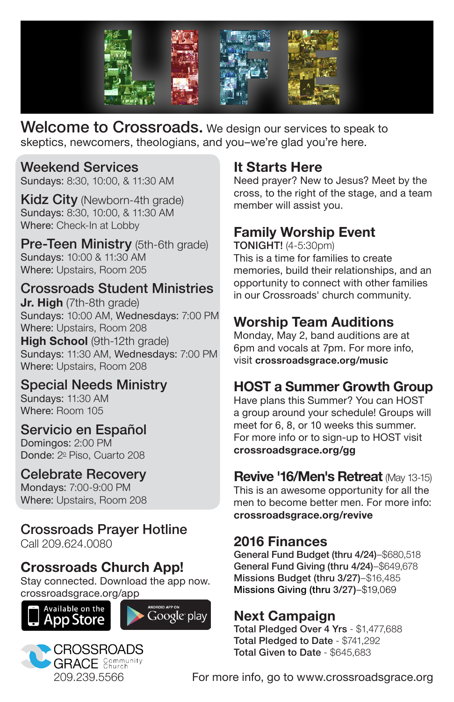

Welcome to Crossroads. We design our services to speak to skeptics, newcomers, theologians, and you–we're glad you're here.

#### Weekend Services

Sundays: 8:30, 10:00, & 11:30 AM

Kidz City (Newborn-4th grade) Sundays: 8:30, 10:00, & 11:30 AM Where: Check-In at Lobby

Pre-Teen Ministry (5th-6th grade) Sundays: 10:00 & 11:30 AM Where: Upstairs, Room 205

#### Crossroads Student Ministries

**Jr. High** (7th-8th grade) Sundays: 10:00 AM, Wednesdays: 7:00 PM Where: Upstairs, Room 208

**High School** (9th-12th grade) Sundays: 11:30 AM, Wednesdays: 7:00 PM Where: Upstairs, Room 208

#### Special Needs Ministry

Sundays: 11:30 AM Where: Room 105

#### Servicio en Español

Domingos: 2:00 PM Donde: 2º Piso, Cuarto 208

#### Celebrate Recovery

Mondays: 7:00-9:00 PM Where: Upstairs, Room 208

# Crossroads Prayer Hotline

Call 209.624.0080

## **Crossroads Church App!**

Stay connected. Download the app now. crossroadsgrace.org/app







## **It Starts Here**

Need prayer? New to Jesus? Meet by the cross, to the right of the stage, and a team member will assist you.

## **Family Worship Event**

TONIGHT! (4-5:30pm) This is a time for families to create memories, build their relationships, and an opportunity to connect with other families in our Crossroads' church community.

## **Worship Team Auditions**

Monday, May 2, band auditions are at 6pm and vocals at 7pm. For more info, visit **crossroadsgrace.org/music**

## **HOST a Summer Growth Group**

Have plans this Summer? You can HOST a group around your schedule! Groups will meet for 6, 8, or 10 weeks this summer. For more info or to sign-up to HOST visit **crossroadsgrace.org/gg**

#### **Revive '16/Men's Retreat** (May 13-15)

This is an awesome opportunity for all the men to become better men. For more info: **crossroadsgrace.org/revive**

#### **2016 Finances**

General Fund Budget (thru 4/24)–\$680,518 General Fund Giving (thru 4/24)–\$649,678 Missions Budget (thru 3/27)-\$16,485 Missions Giving (thru 3/27)–\$19,069

## **Next Campaign**

Total Pledged Over 4 Yrs - \$1,477,688 Total Pledged to Date - \$741,292 Total Given to Date - \$645,683

For more info, go to www.crossroadsgrace.org